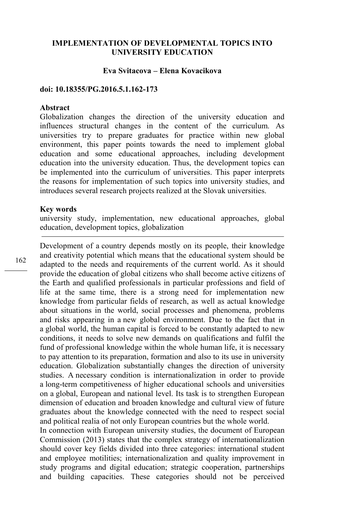# **IMPLEMENTATION OF DEVELOPMENTAL TOPICS INTO UNIVERSITY EDUCATION**

## **Eva Svitacova – Elena Kovacikova**

### **doi: 10.18355/PG.2016.5.1.162-173**

## **Abstract**

Globalization changes the direction of the university education and influences structural changes in the content of the curriculum. As universities try to prepare graduates for practice within new global environment, this paper points towards the need to implement global education and some educational approaches, including development education into the university education. Thus, the development topics can be implemented into the curriculum of universities. This paper interprets the reasons for implementation of such topics into university studies, and introduces several research projects realized at the Slovak universities.

#### **Key words**

university study, implementation, new educational approaches, global education, development topics, globalization

Development of a country depends mostly on its people, their knowledge and creativity potential which means that the educational system should be adapted to the needs and requirements of the current world. As it should provide the education of global citizens who shall become active citizens of the Earth and qualified professionals in particular professions and field of life at the same time, there is a strong need for implementation new knowledge from particular fields of research, as well as actual knowledge about situations in the world, social processes and phenomena, problems and risks appearing in a new global environment. Due to the fact that in a global world, the human capital is forced to be constantly adapted to new conditions, it needs to solve new demands on qualifications and fulfil the fund of professional knowledge within the whole human life, it is necessary to pay attention to its preparation, formation and also to its use in university education. Globalization substantially changes the direction of university studies. A necessary condition is internationalization in order to provide a long-term competitiveness of higher educational schools and universities on a global, European and national level. Its task is to strengthen European dimension of education and broaden knowledge and cultural view of future graduates about the knowledge connected with the need to respect social and political realia of not only European countries but the whole world.

In connection with European university studies, the document of European Commission (2013) states that the complex strategy of internationalization should cover key fields divided into three categories: international student and employee motilities; internationalization and quality improvement in study programs and digital education; strategic cooperation, partnerships and building capacities. These categories should not be perceived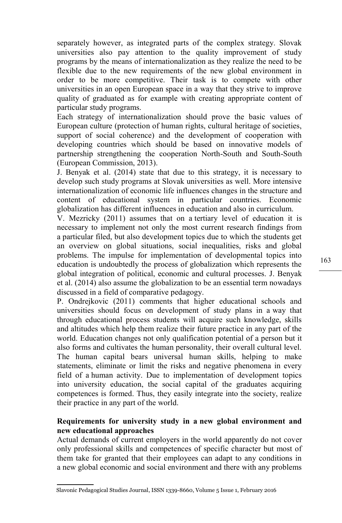separately however, as integrated parts of the complex strategy. Slovak universities also pay attention to the quality improvement of study programs by the means of internationalization as they realize the need to be flexible due to the new requirements of the new global environment in order to be more competitive. Their task is to compete with other universities in an open European space in a way that they strive to improve quality of graduated as for example with creating appropriate content of particular study programs.

Each strategy of internationalization should prove the basic values of European culture (protection of human rights, cultural heritage of societies, support of social coherence) and the development of cooperation with developing countries which should be based on innovative models of partnership strengthening the cooperation North-South and South-South (European Commission, 2013).

J. Benyak et al. (2014) state that due to this strategy, it is necessary to develop such study programs at Slovak universities as well. More intensive internationalization of economic life influences changes in the structure and content of educational system in particular countries. Economic globalization has different influences in education and also in curriculum.

V. Mezricky (2011) assumes that on a tertiary level of education it is necessary to implement not only the most current research findings from a particular filed, but also development topics due to which the students get an overview on global situations, social inequalities, risks and global problems. The impulse for implementation of developmental topics into education is undoubtedly the process of globalization which represents the global integration of political, economic and cultural processes. J. Benyak et al. (2014) also assume the globalization to be an essential term nowadays discussed in a field of comparative pedagogy.

P. Ondrejkovic (2011) comments that higher educational schools and universities should focus on development of study plans in a way that through educational process students will acquire such knowledge, skills and altitudes which help them realize their future practice in any part of the world. Education changes not only qualification potential of a person but it also forms and cultivates the human personality, their overall cultural level. The human capital bears universal human skills, helping to make statements, eliminate or limit the risks and negative phenomena in every field of a human activity. Due to implementation of development topics into university education, the social capital of the graduates acquiring competences is formed. Thus, they easily integrate into the society, realize their practice in any part of the world.

# **Requirements for university study in a new global environment and new educational approaches**

Actual demands of current employers in the world apparently do not cover only professional skills and competences of specific character but most of them take for granted that their employees can adapt to any conditions in a new global economic and social environment and there with any problems

Slavonic Pedagogical Studies Journal, ISSN 1339-8660, Volume 5 Issue 1, February 2016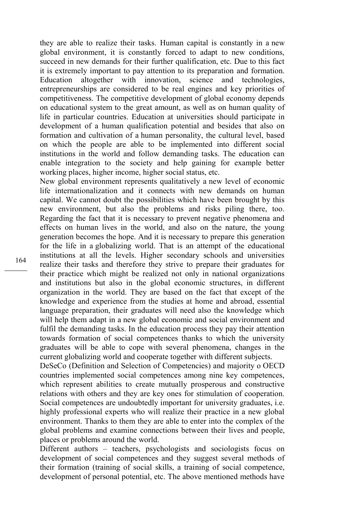they are able to realize their tasks. Human capital is constantly in a new global environment, it is constantly forced to adapt to new conditions, succeed in new demands for their further qualification, etc. Due to this fact it is extremely important to pay attention to its preparation and formation. Education altogether with innovation, science and technologies, entrepreneurships are considered to be real engines and key priorities of competitiveness. The competitive development of global economy depends on educational system to the great amount, as well as on human quality of life in particular countries. Education at universities should participate in development of a human qualification potential and besides that also on formation and cultivation of a human personality, the cultural level, based on which the people are able to be implemented into different social institutions in the world and follow demanding tasks. The education can enable integration to the society and help gaining for example better working places, higher income, higher social status, etc.

New global environment represents qualitatively a new level of economic life internationalization and it connects with new demands on human capital. We cannot doubt the possibilities which have been brought by this new environment, but also the problems and risks piling there, too. Regarding the fact that it is necessary to prevent negative phenomena and effects on human lives in the world, and also on the nature, the young generation becomes the hope. And it is necessary to prepare this generation for the life in a globalizing world. That is an attempt of the educational institutions at all the levels. Higher secondary schools and universities realize their tasks and therefore they strive to prepare their graduates for their practice which might be realized not only in national organizations and institutions but also in the global economic structures, in different organization in the world. They are based on the fact that except of the knowledge and experience from the studies at home and abroad, essential language preparation, their graduates will need also the knowledge which will help them adapt in a new global economic and social environment and fulfil the demanding tasks. In the education process they pay their attention towards formation of social competences thanks to which the university graduates will be able to cope with several phenomena, changes in the current globalizing world and cooperate together with different subjects.

DeSeCo (Definition and Selection of Competencies) and majority o OECD countries implemented social competences among nine key competences, which represent abilities to create mutually prosperous and constructive relations with others and they are key ones for stimulation of cooperation. Social competences are undoubtedly important for university graduates, i.e. highly professional experts who will realize their practice in a new global environment. Thanks to them they are able to enter into the complex of the global problems and examine connections between their lives and people, places or problems around the world.

Different authors – teachers, psychologists and sociologists focus on development of social competences and they suggest several methods of their formation (training of social skills, a training of social competence, development of personal potential, etc. The above mentioned methods have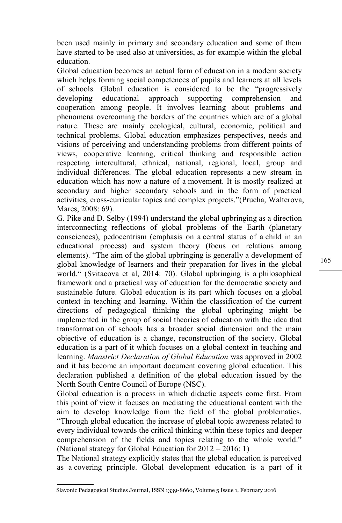been used mainly in primary and secondary education and some of them have started to be used also at universities, as for example within the global education.

Global education becomes an actual form of education in a modern society which helps forming social competences of pupils and learners at all levels of schools. Global education is considered to be the "progressively developing educational approach supporting comprehension and cooperation among people. It involves learning about problems and phenomena overcoming the borders of the countries which are of a global nature. These are mainly ecological, cultural, economic, political and technical problems. Global education emphasizes perspectives, needs and visions of perceiving and understanding problems from different points of views, cooperative learning, critical thinking and responsible action respecting intercultural, ethnical, national, regional, local, group and individual differences. The global education represents a new stream in education which has now a nature of a movement. It is mostly realized at secondary and higher secondary schools and in the form of practical activities, cross-curricular topics and complex projects."(Prucha, Walterova, Mares, 2008: 69).

[G. Pike](http://cs.wikipedia.org/w/index.php?title=Graham_Pike&action=edit&redlink=1) and [D. Selby](http://cs.wikipedia.org/w/index.php?title=David_Selby&action=edit&redlink=1) (1994) understand the global upbringing as a direction interconnecting reflections of global problems of the Earth (planetary consciences), pedocentrism (emphasis on a central status of a child in an educational process) and system theory (focus on relations among elements). "The aim of the global upbringing is generally a development of global knowledge of learners and their preparation for lives in the global world." (Svitacova et al, 2014: 70). Global upbringing is a philosophical framework and a practical way of education for the democratic society and sustainable future. Global education is its part which focuses on a global context in teaching and learning. Within the classification of the current directions of pedagogical thinking the global upbringing might be implemented in the group of social theories of education with the idea that transformation of schools has a broader social dimension and the main objective of education is a change, reconstruction of the society. Global education is a part of it which focuses on a global context in teaching and learning. *Maastrict Declaration of Global Education* was approved in 2002 and it has become an important document covering global education. This declaration published a definition of the global education issued by the North South Centre Council of Europe (NSC).

Global education is a process in which didactic aspects come first. From this point of view it focuses on mediating the educational content with the aim to develop knowledge from the field of the global problematics. "Through global education the increase of global topic awareness related to every individual towards the critical thinking within these topics and deeper comprehension of the fields and topics relating to the whole world." (National strategy for Global Education for 2012 – 2016: 1)

The National strategy explicitly states that the global education is perceived as a covering principle. Global development education is a part of it

Slavonic Pedagogical Studies Journal, ISSN 1339-8660, Volume 5 Issue 1, February 2016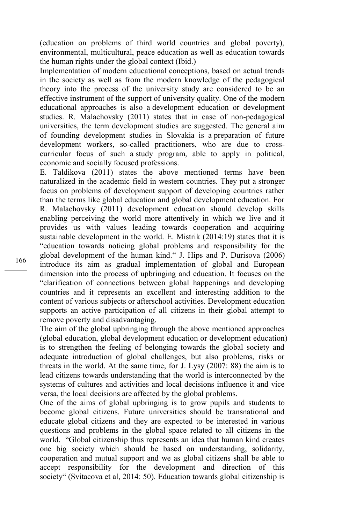(education on problems of third world countries and global poverty), environmental, multicultural, peace education as well as education towards the human rights under the global context (Ibid.)

Implementation of modern educational conceptions, based on actual trends in the society as well as from the modern knowledge of the pedagogical theory into the process of the university study are considered to be an effective instrument of the support of university quality. One of the modern educational approaches is also a development education or development studies. R. Malachovsky (2011) states that in case of non-pedagogical universities, the term development studies are suggested. The general aim of founding development studies in Slovakia is a preparation of future development workers, so-called practitioners, who are due to crosscurricular focus of such a study program, able to apply in political, economic and socially focused professions.

E. Taldikova (2011) states the above mentioned terms have been naturalized in the academic field in western countries. They put a stronger focus on problems of development support of developing countries rather than the terms like global education and global development education. For R. Malachovsky (2011) development education should develop skills enabling perceiving the world more attentively in which we live and it provides us with values leading towards cooperation and acquiring sustainable development in the world. E. Mistrik (2014:19) states that it is "education towards noticing global problems and responsibility for the global development of the human kind." J. Hips and P. Durisova (2006) introduce its aim as gradual implementation of global and European dimension into the process of upbringing and education. It focuses on the "clarification of connections between global happenings and developing countries and it represents an excellent and interesting addition to the content of various subjects or afterschool activities. Development education supports an active participation of all citizens in their global attempt to remove poverty and disadvantaging.

The aim of the global upbringing through the above mentioned approaches (global education, global development education or development education) is to strengthen the feeling of belonging towards the global society and adequate introduction of global challenges, but also problems, risks or threats in the world. At the same time, for J. Lysy (2007: 88) the aim is to lead citizens towards understanding that the world is interconnected by the systems of cultures and activities and local decisions influence it and vice versa, the local decisions are affected by the global problems.

One of the aims of global upbringing is to grow pupils and students to become global citizens. Future universities should be transnational and educate global citizens and they are expected to be interested in various questions and problems in the global space related to all citizens in the world. "Global citizenship thus represents an idea that human kind creates one big society which should be based on understanding, solidarity, cooperation and mutual support and we as global citizens shall be able to accept responsibility for the development and direction of this society" (Svitacova et al, 2014: 50). Education towards global citizenship is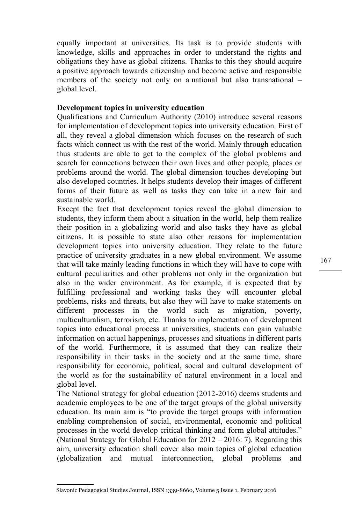equally important at universities. Its task is to provide students with knowledge, skills and approaches in order to understand the rights and obligations they have as global citizens. Thanks to this they should acquire a positive approach towards citizenship and become active and responsible members of the society not only on a national but also transnational – global level.

# **Development topics in university education**

Qualifications and Curriculum Authority (2010) introduce several reasons for implementation of development topics into university education. First of all, they reveal a global dimension which focuses on the research of such facts which connect us with the rest of the world. Mainly through education thus students are able to get to the complex of the global problems and search for connections between their own lives and other people, places or problems around the world. The global dimension touches developing but also developed countries. It helps students develop their images of different forms of their future as well as tasks they can take in a new fair and sustainable world.

Except the fact that development topics reveal the global dimension to students, they inform them about a situation in the world, help them realize their position in a globalizing world and also tasks they have as global citizens. It is possible to state also other reasons for implementation development topics into university education. They relate to the future practice of university graduates in a new global environment. We assume that will take mainly leading functions in which they will have to cope with cultural peculiarities and other problems not only in the organization but also in the wider environment. As for example, it is expected that by fulfilling professional and working tasks they will encounter global problems, risks and threats, but also they will have to make statements on different processes in the world such as migration, poverty, multiculturalism, terrorism, etc. Thanks to implementation of development topics into educational process at universities, students can gain valuable information on actual happenings, processes and situations in different parts of the world. Furthermore, it is assumed that they can realize their responsibility in their tasks in the society and at the same time, share responsibility for economic, political, social and cultural development of the world as for the sustainability of natural environment in a local and global level.

The National strategy for global education (2012-2016) deems students and academic employees to be one of the target groups of the global university education. Its main aim is "to provide the target groups with information enabling comprehension of social, environmental, economic and political processes in the world develop critical thinking and form global attitudes." (National Strategy for Global Education for 2012 – 2016: 7). Regarding this aim, university education shall cover also main topics of global education (globalization and mutual interconnection, global problems and

Slavonic Pedagogical Studies Journal, ISSN 1339-8660, Volume 5 Issue 1, February 2016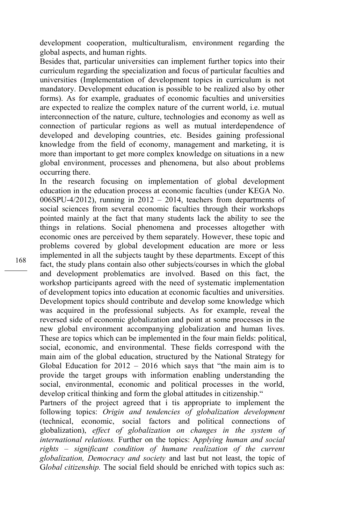development cooperation, multiculturalism, environment regarding the global aspects, and human rights.

Besides that, particular universities can implement further topics into their curriculum regarding the specialization and focus of particular faculties and universities (Implementation of development topics in curriculum is not mandatory. Development education is possible to be realized also by other forms). As for example, graduates of economic faculties and universities are expected to realize the complex nature of the current world, i.e. mutual interconnection of the nature, culture, technologies and economy as well as connection of particular regions as well as mutual interdependence of developed and developing countries, etc. Besides gaining professional knowledge from the field of economy, management and marketing, it is more than important to get more complex knowledge on situations in a new global environment, processes and phenomena, but also about problems occurring there.

In the research focusing on implementation of global development education in the education process at economic faculties (under KEGA No. 006SPU-4/2012), running in  $2012 - 2014$ , teachers from departments of social sciences from several economic faculties through their workshops pointed mainly at the fact that many students lack the ability to see the things in relations. Social phenomena and processes altogether with economic ones are perceived by them separately. However, these topic and problems covered by global development education are more or less implemented in all the subjects taught by these departments. Except of this fact, the study plans contain also other subjects/courses in which the global and development problematics are involved. Based on this fact, the workshop participants agreed with the need of systematic implementation of development topics into education at economic faculties and universities. Development topics should contribute and develop some knowledge which was acquired in the professional subjects. As for example, reveal the reversed side of economic globalization and point at some processes in the new global environment accompanying globalization and human lives. These are topics which can be implemented in the four main fields: political, social, economic, and environmental. These fields correspond with the main aim of the global education, structured by the National Strategy for Global Education for  $2012 - 2016$  which says that "the main aim is to provide the target groups with information enabling understanding the social, environmental, economic and political processes in the world, develop critical thinking and form the global attitudes in citizenship."

Partners of the project agreed that i tis appropriate to implement the following topics: *Origin and tendencies of globalization development*  (technical, economic, social factors and political connections of globalization), *effect of globalization on changes in the system of international relations.* Further on the topics: A*pplying human and social rights – significant condition of humane realization of the current globalization, Democracy and society* and last but not least, the topic of G*lobal citizenship.* The social field should be enriched with topics such as: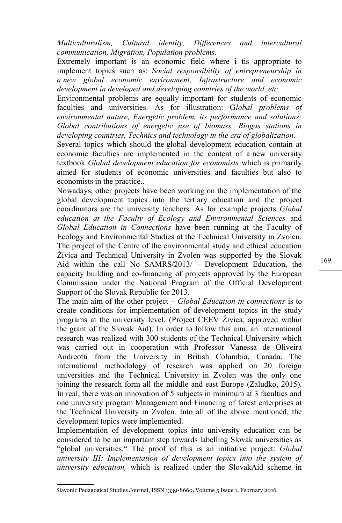*Multiculturalism, Cultural identity, Differences and intercultural communication, Migration, Population problems.*

Extremely important is an economic field where i tis appropriate to implement topics such as: *Social responsibility of entrepreneurship in a new global economic environment, Infrastructure and economic development in developed and developing countries of the world, etc.* 

Environmental problems are equally important for students of economic faculties and universities. As for illustration: G*lobal problems of environmental nature, Energetic problem, its performance and solutions; Global contributions of energetic use of biomass, Biogas stations in developing countries, Technics and technology in the era of globalization.* 

Several topics which should the global development education contain at economic faculties are implemented in the content of a new university textbook *Global development education for economists* which is primarily aimed for students of economic universities and faculties but also to economists in the practice..

Nowadays, other projects have been working on the implementation of the global development topics into the tertiary education and the project coordinators are the university teachers. As for example projects *Global education at the Faculty of Ecology and Environmental Sciences* and *Global Education in Connections* have been running at the Faculty of Ecology and Environmental Studies at the Technical University in Zvolen. The project of the Centre of the environmental study and ethical education Živica and Technical University in Zvolen was supported by the Slovak Aid within the call No SAMRS/2013/ - Development Education, the capacity building and co-financing of projects approved by the European Commission under the National Program of the Official Development Support of the Slovak Republic for 2013.

The main aim of the other project – *Global Education in connections* is to create conditions for implementation of development topics in the study programs at the university level. (Project CEEV Živica, approved within the grant of the Slovak Aid). In order to follow this aim, an international research was realized with 300 students of the Technical University which was carried out in cooperation with Professor Vanessa de Oliveira Andreotti from the University in British Columbia, Canada. The international methodology of research was applied on 20 foreign universities and the Technical University in Zvolen was the only one joining the research form all the middle and east Europe (Zaludko, 2015). In real, there was an innovation of 5 subjects in minimum at 3 faculties and one university program Management and Financing of forest enterprises at the Technical University in Zvolen. Into all of the above mentioned, the development topics were implemented.

Implementation of development topics into university education can be considered to be an important step towards labelling Slovak universities as "global universities." The proof of this is an initiative project: *Global university III: Implementation of development topics into the system of university education,* which is realized under the SlovakAid scheme in

Slavonic Pedagogical Studies Journal, ISSN 1339-8660, Volume 5 Issue 1, February 2016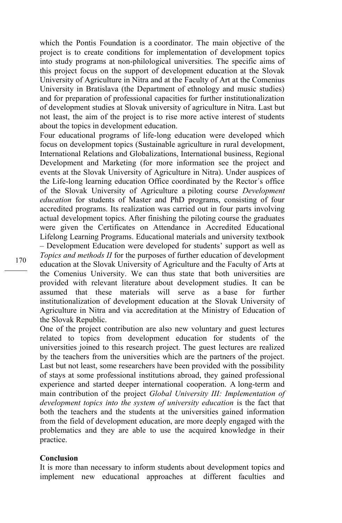which the Pontis Foundation is a coordinator. The main objective of the project is to create conditions for implementation of development topics into study programs at non-philological universities. The specific aims of this project focus on the support of development education at the Slovak University of Agriculture in Nitra and at the Faculty of Art at the Comenius University in Bratislava (the Department of ethnology and music studies) and for preparation of professional capacities for further institutionalization of development studies at Slovak university of agriculture in Nitra. Last but not least, the aim of the project is to rise more active interest of students about the topics in development education.

Four educational programs of life-long education were developed which focus on development topics (Sustainable agriculture in rural development, International Relations and Globalizations, International business, Regional Development and Marketing (for more information see the project and events at the Slovak University of Agriculture in Nitra). Under auspices of the Life-long learning education Office coordinated by the Rector´s office of the Slovak University of Agriculture a piloting course *Development education* for students of Master and PhD programs, consisting of four accredited programs. Its realization was carried out in four parts involving actual development topics. After finishing the piloting course the graduates were given the Certificates on Attendance in Accredited Educational Lifelong Learning Programs. Educational materials and university textbook – Development Education were developed for students' support as well as *Topics and methods II* for the purposes of further education of development education at the Slovak University of Agriculture and the Faculty of Arts at the Comenius University. We can thus state that both universities are provided with relevant literature about development studies. It can be assumed that these materials will serve as a base for further institutionalization of development education at the Slovak University of Agriculture in Nitra and via accreditation at the Ministry of Education of the Slovak Republic.

One of the project contribution are also new voluntary and guest lectures related to topics from development education for students of the universities joined to this research project. The guest lectures are realized by the teachers from the universities which are the partners of the project. Last but not least, some researchers have been provided with the possibility of stays at some professional institutions abroad, they gained professional experience and started deeper international cooperation. A long-term and main contribution of the project *Global University III: Implementation of development topics into the system of university education* is the fact that both the teachers and the students at the universities gained information from the field of development education, are more deeply engaged with the problematics and they are able to use the acquired knowledge in their practice.

### **Conclusion**

It is more than necessary to inform students about development topics and implement new educational approaches at different faculties and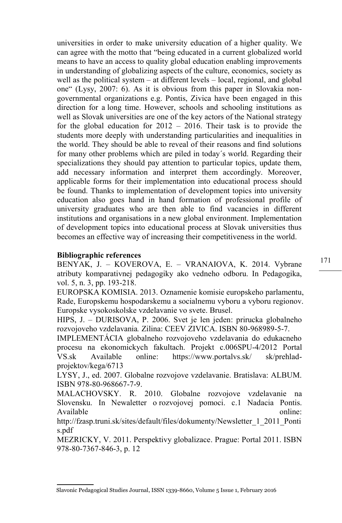universities in order to make university education of a higher quality. We can agree with the motto that "being educated in a current globalized world means to have an access to quality global education enabling improvements in understanding of globalizing aspects of the culture, economics, society as well as the political system – at different levels – local, regional, and global one" (Lysy, 2007: 6). As it is obvious from this paper in Slovakia nongovernmental organizations e.g. Pontis, Zivica have been engaged in this direction for a long time. However, schools and schooling institutions as well as Slovak universities are one of the key actors of the National strategy for the global education for 2012 – 2016. Their task is to provide the students more deeply with understanding particularities and inequalities in the world. They should be able to reveal of their reasons and find solutions for many other problems which are piled in today´s world. Regarding their specializations they should pay attention to particular topics, update them, add necessary information and interpret them accordingly. Moreover, applicable forms for their implementation into educational process should be found. Thanks to implementation of development topics into university education also goes hand in hand formation of professional profile of university graduates who are then able to find vacancies in different institutions and organisations in a new global environment. Implementation of development topics into educational process at Slovak universities thus becomes an effective way of increasing their competitiveness in the world.

# **Bibliographic references**

BENYAK, J. – KOVEROVA, E. – VRANAIOVA, K. 2014. Vybrane atributy komparativnej pedagogiky ako vedneho odboru. In Pedagogika, vol. 5, n. 3, pp. 193-218.

EUROPSKA KOMISIA. 2013. Oznamenie komisie europskeho parlamentu, Rade, Europskemu hospodarskemu a socialnemu vyboru a vyboru regionov. Europske vysokoskolske vzdelavanie vo svete. Brusel.

HIPS, J. – DURISOVA, P. 2006. Svet je len jeden: prirucka globalneho rozvojoveho vzdelavania*.* Zilina: CEEV ZIVICA. ISBN 80-968989-5-7.

IMPLEMENTÁCIA globalneho rozvojoveho vzdelavania do edukacneho procesu na ekonomickych fakultach. Projekt c.006SPU-4/2012 Portal VS.sk Available online: https://www.portalvs.sk/ sk/prehladprojektov/kega/6713

LYSY, J., ed. 2007. Globalne rozvojove vzdelavanie. Bratislava: ALBUM. ISBN 978-80-968667-7-9.

MALACHOVSKY. R. 2010. Globalne rozvojove vzdelavanie na Slovensku. In Newaletter o rozvojovej pomoci. c.1 Nadacia Pontis. Available online:

[http://fzasp.truni.sk/sites/default/files/dokumenty/Newsletter\\_1\\_2011\\_Ponti](http://fzasp.truni.sk/sites/default/files/dokumenty/Newsletter_1_2011_Pontis.pdf) [s.pdf](http://fzasp.truni.sk/sites/default/files/dokumenty/Newsletter_1_2011_Pontis.pdf)

MEZRICKY, V. 2011. Perspektivy globalizace. Prague: Portal 2011. ISBN 978-80-7367-846-3, p. 12

Slavonic Pedagogical Studies Journal, ISSN 1339-8660, Volume 5 Issue 1, February 2016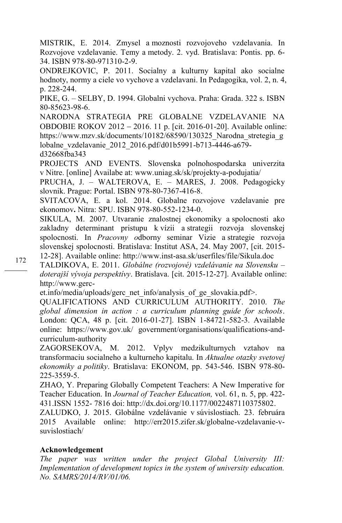MISTRIK, E. 2014. Zmysel a moznosti rozvojoveho vzdelavania. In Rozvojove vzdelavanie. Temy a metody. 2. vyd. Bratislava: Pontis. pp. 6- 34. ISBN 978-80-971310-2-9.

ONDREJKOVIC, P. 2011. Socialny a kulturny kapital ako socialne hodnoty, normy a ciele vo vychove a vzdelavani. In Pedagogika, vol. 2, n. 4, p. 228-244.

PIKE, G. – SELBY, D. 1994. Globalni vychova. Praha: Grada. 322 s[. ISBN](http://cs.wikipedia.org/wiki/Speci%C3%A1ln%C3%AD:Zdroje_knih/8085623986)  [80-85623-98-6.](http://cs.wikipedia.org/wiki/Speci%C3%A1ln%C3%AD:Zdroje_knih/8085623986)

NARODNA STRATEGIA PRE GLOBALNE VZDELAVANIE NA OBDOBIE ROKOV 2012 2016. 11 p. [cit. 2016-01-20]. Available online: [https://www.mzv.sk/documents/10182/68590/130325\\_Narodna\\_stretegia\\_g](https://www.mzv.sk/documents/10182/68590/130325_Narodna_stretegia_globalne_vzdelavanie_2012_2016.pdf/d01b5991-b713-4446-a679-d32668fba343) [lobalne\\_vzdelavanie\\_2012\\_2016.pdf/d01b5991-b713-4446-a679](https://www.mzv.sk/documents/10182/68590/130325_Narodna_stretegia_globalne_vzdelavanie_2012_2016.pdf/d01b5991-b713-4446-a679-d32668fba343) [d32668fba343](https://www.mzv.sk/documents/10182/68590/130325_Narodna_stretegia_globalne_vzdelavanie_2012_2016.pdf/d01b5991-b713-4446-a679-d32668fba343)

PROJECTS AND EVENTS. Slovenska polnohospodarska univerzita v Nitre. [online] Availabe at: [www.uniag.sk/sk/projekty-a-podujatia/](http://www.uniag.sk/sk/projekty-a-podujatia/)

PRUCHA, J. – WALTEROVA, E. – MARES, J. 2008. Pedagogicky slovnik. Prague: Portal. ISBN 978-80-7367-416-8.

SVITACOVA, E. a kol. 2014. Globalne rozvojove vzdelavanie pre ekonomov**.** Nitra: SPU. ISBN 978-80-552-1234-0.

SIKULA, M. 2007. Utvaranie znalostnej ekonomiky a spolocnosti ako zakladny determinant pristupu k vízii a strategii rozvoja slovenskej spolocnosti. In *Pracovny o*dborny seminar Vizie a strategie rozvoja slovenskej spolocnosti. Bratislava: Institut ASA, 24. May 2007, [cit. 2015- 12-28]. Available online: http:/[/www.inst-asa.sk/userfiles/file/Sikula.doc](http://www.inst-asa.sk/userfiles/file/Sikula.doc)

TALDIKOVA, E. 2011. *Globálne (rozvojové) vzdelávanie na Slovensku – doterajší vývoja perspektívy*. Bratislava. [cit. 2015-12-27]. Available online: [http://www.gerc-](http://www.gerc-et.info/media/uploads/gerc_net_info/analysis_of_ge_slovakia.pdf)

[et.info/media/uploads/gerc\\_net\\_info/analysis\\_of\\_ge\\_slovakia.pdf>](http://www.gerc-et.info/media/uploads/gerc_net_info/analysis_of_ge_slovakia.pdf).

QUALIFICATIONS AND CURRICULUM AUTHORITY. 2010. *The global dimension in action : a curriculum planning guide for schools*. London: QCA, 48 p. [cit. 2016-01-27]. ISBN 1-84721-582-3. Available online: https://www.gov.uk/ government/organisations/qualifications-andcurriculum-authority

ZAGORSEKOVA, M. 2012. Vplyv medzikulturnych vztahov na transformaciu socialneho a kulturneho kapitalu. In *Aktualne otazky svetovej ekonomiky a politiky*. Bratislava: EKONOM, pp. 543-546. ISBN 978-80- 225-3559-5.

ZHAO, Y. Preparing Globally Competent Teachers: A New Imperative for Teacher Education. In *Journal of Teacher Education,* vol. 61, n. 5, pp. 422- 431.ISSN 1552- 7816 doi[: http://dx.doi.org/10.1177/0022487110375802.](http://dx.doi.org/10.1177/0022487110375802)

ZALUDKO, J. 2015. Globálne vzdelávanie v súvislostiach. 23. februára 2015 Available online: [http://err2015.zifer.sk/globalne-vzdelavanie-v](http://err2015.zifer.sk/globalne-vzdelavanie-v-suvislostiach/)[suvislostiach/](http://err2015.zifer.sk/globalne-vzdelavanie-v-suvislostiach/)

## **Acknowledgement**

*The paper was written under the project Global University III: Implementation of development topics in the system of university education. No. SAMRS/2014/RV/01/06.*